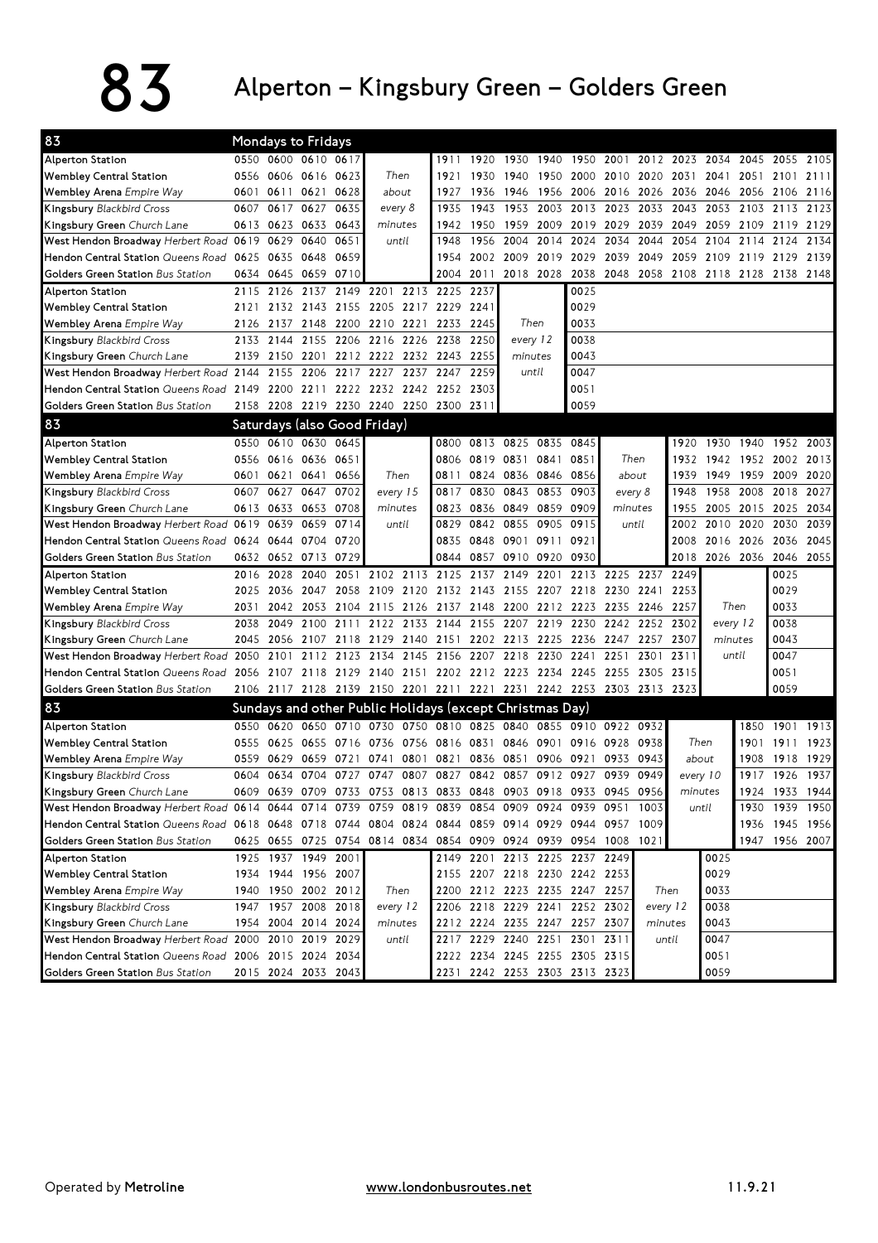## $83$  Alperton – Kingsbury Green – Golders Green

| 83                                                     |      |           | Mondays to Fridays           |           |              |                                                          |              |           |                               |           |           |                                                                       |                                    |          |          |                |                |           |
|--------------------------------------------------------|------|-----------|------------------------------|-----------|--------------|----------------------------------------------------------|--------------|-----------|-------------------------------|-----------|-----------|-----------------------------------------------------------------------|------------------------------------|----------|----------|----------------|----------------|-----------|
| Alperton Station                                       |      |           | 0550 0600 0610 0617          |           |              |                                                          | 1911         | 1920      | 1930                          | 1940      | 1950      | 2001                                                                  | 2012                               | 2023     | 2034     | 2045           | 2055           | 2105      |
| Wembley Central Station                                | 0556 |           | 0606 0616 0623               |           | Then         |                                                          | 1921         | 1930      | 1940                          | 1950      | 2000      |                                                                       | 2010 2020                          | 2031     | 2041     | 2051           | 2101           | 2111      |
| Wembley Arena Empire Way                               | 0601 |           | 0611 0621 0628               |           | about        |                                                          | 1927         | 1936      | 1946                          | 1956      | 2006      | 2016 2026                                                             |                                    | 2036     |          | 2046 2056      | 2106           | 2116      |
| Kingsbury Blackbird Cross                              | 0607 | 0617      | 0627                         | 0635      | every 8      |                                                          | 1935         | 1943      | 1953                          | 2003      | 2013      | 2023                                                                  | 2033                               | 2043     |          | 2053 2103      | 2113           | 2123      |
| Kingsbury Green Church Lane                            |      |           | 0613 0623 0633               | 0643      | minutes      |                                                          | 1942         | 1950      | 1959                          | 2009      | 2019      | 2029                                                                  | 2039                               | 2049     | 2059     | 2109           | 2119           | 2129      |
| West Hendon Broadway Herbert Road 0619                 |      | 0629      | 0640                         | 0651      | until        |                                                          | 1948         | 1956      | 2004                          | 2014      | 2024      | 2034                                                                  | 2044                               | 2054     | 2104     | 2114           | 2124           | 2134      |
| Hendon Central Station Queens Road                     | 0625 | 0635      | 0648                         | 0659      |              |                                                          | 1954         | 2002      | 2009                          | 2019      | 2029      | 2039                                                                  | 2049                               | 2059     | 2109     | 2119           | 2129           | 2139      |
| Golders Green Station Bus Station                      |      | 0634 0645 | 0659 0710                    |           |              |                                                          | 2004         | 2011      |                               | 2018 2028 | 2038      |                                                                       | 2048 2058 2108 2118 2128 2138 2148 |          |          |                |                |           |
| Alperton Station                                       | 2115 | 2126      | 2137 2149                    |           | 2201         | 2213 2225                                                |              | 2237      |                               |           | 0025      |                                                                       |                                    |          |          |                |                |           |
| <b>Wembley Central Station</b>                         | 2121 |           | 2132 2143 2155               |           |              | 2205 2217 2229                                           |              | 2241      |                               |           | 0029      |                                                                       |                                    |          |          |                |                |           |
| Wembley Arena Empire Way                               | 2126 | 2137      | 2148                         | 2200      | 2210 2221    |                                                          | 2233         | 2245      | Then                          |           | 0033      |                                                                       |                                    |          |          |                |                |           |
| Kingsbury Blackbird Cross                              | 2133 | 2144      | 2155                         | 2206      | 2216 2226    |                                                          | 2238         | 2250      | every 12                      |           | 0038      |                                                                       |                                    |          |          |                |                |           |
| Kingsbury Green Church Lane                            | 2139 | 2150      | 2201                         | 2212      | 2222 2232    |                                                          | 2243         | 2255      | minutes                       |           | 0043      |                                                                       |                                    |          |          |                |                |           |
| West Hendon Broadway Herbert Road 2144                 |      | 2155      | 2206                         | 2217      | 2227<br>2237 |                                                          | 2247         | 2259      |                               | until     | 0047      |                                                                       |                                    |          |          |                |                |           |
| Hendon Central Station Queens Road 2149                |      |           |                              |           |              | 2200 2211 2222 2232 2242 2252                            |              | 2303      |                               |           | 0051      |                                                                       |                                    |          |          |                |                |           |
| Golders Green Station Bus Station                      | 2158 |           |                              |           |              | 2208 2219 2230 2240 2250 2300 2311                       |              |           |                               |           | 0059      |                                                                       |                                    |          |          |                |                |           |
| 83                                                     |      |           | Saturdays (also Good Friday) |           |              |                                                          |              |           |                               |           |           |                                                                       |                                    |          |          |                |                |           |
| Alperton Station                                       |      |           | 0550 0610 0630 0645          |           |              |                                                          | 0800         |           | 0813 0825 0835 0845           |           |           |                                                                       |                                    | 1920     |          | 1930 1940 1952 |                | 2003      |
| <b>Wembley Central Station</b>                         |      |           | 0556 0616 0636 0651          |           |              |                                                          |              |           | 0819 0831 0841                |           | 0851      | Then                                                                  |                                    | 1932     |          | 1942 1952 2002 |                | 2013      |
| Wembley Arena Empire Way                               | 0601 |           | 0621 0641                    | 0656      | Then         |                                                          | 0806<br>0811 | 0824      | 0836 0846                     |           | 0856      | about                                                                 |                                    | 1939     |          | 1949 1959      | 2009           | 2020      |
| Kingsbury Blackbird Cross                              | 0607 | 0627      | 0647                         | 0702      | every 15     |                                                          | 0817         | 0830      | 0843                          | 0853      | 0903      |                                                                       | every 8                            | 1948     | 1958     | 2008           | 2018           | 2027      |
| Kingsbury Green Church Lane                            |      |           | 0613 0633 0653 0708          |           | minutes      |                                                          | 0823         |           | 0836 0849 0859                |           | 0909      | minutes                                                               |                                    | 1955     |          | 2005 2015      | 2025           | 2034      |
| West Hendon Broadway Herbert Road 0619                 |      | 0639      | 0659                         | 0714      | until        |                                                          | 0829         |           | 0842 0855                     | 0905      | 0915      |                                                                       | until                              | 2002     |          | 2010 2020      | 2030           | 2039      |
| Hendon Central Station Queens Road                     |      | 0624 0644 |                              | 0704 0720 |              |                                                          | 0835         |           | 0848 0901 0911                |           | 0921      |                                                                       |                                    | 2008     |          | 2016 2026      | 2036           | 2045      |
| Golders Green Station Bus Station                      |      |           | 0632 0652 0713 0729          |           |              |                                                          | 0844         |           | 0857 0910 0920                |           | 0930      |                                                                       |                                    | 2018     |          | 2026 2036      |                | 2046 2055 |
| Alperton Station                                       | 2016 | 2028      | 2040                         | 2051      |              | 2102 2113 2125                                           |              | 2137      | 2149                          | 2201      | 2213      | 2225 2237                                                             |                                    | 2249     |          |                | 0025           |           |
| <b>Wembley Central Station</b>                         | 2025 |           | 2036 2047                    | 2058      |              | 2109 2120                                                |              |           | 2132 2143 2155 2207 2218      |           |           | 2230 2241                                                             |                                    | 2253     |          |                | 0029           |           |
| Wembley Arena Empire Way                               | 2031 | 2042      | 2053 2104                    |           |              | 2115 2126                                                |              |           |                               |           |           | 2137 2148 2200 2212 2223 2235 2246                                    |                                    | 2257     |          | Then           | 0033           |           |
| Kingsbury Blackbird Cross                              | 2038 | 2049      | 2100 2111                    |           |              | 2122 2133 2144 2155 2207 2219 2230                       |              |           |                               |           |           |                                                                       | 2242 2252                          | 2302     | every 12 |                | 0038           |           |
| Kingsbury Green Church Lane                            | 2045 | 2056      | 2107                         | 2118      | 2129         | 2140 2151                                                |              |           | 2202 2213                     | 2225      | 2236      | 2247                                                                  | 2257                               | 2307     | minutes  |                | 0043           |           |
| West Hendon Broadway Herbert Road                      | 2050 | 2101      | 2112                         | 2123      | 2134         | 2145 2156                                                |              | 2207 2218 |                               | 2230      | 2241      | 2251                                                                  | 2301                               | 2311     |          | until          | 0047           |           |
| Hendon Central Station Queens Road                     | 2056 |           | 2107 2118 2129               |           |              |                                                          |              |           |                               |           |           | 2140 2151 2202 2212 2223 2234 2245 2255 2305                          |                                    | 2315     |          |                | 0051           |           |
| Golders Green Station Bus Station                      |      |           |                              |           |              |                                                          |              |           |                               |           |           | 2106 2117 2128 2139 2150 2201 2211 2221 2231 2242 2253 2303 2313 2323 |                                    |          |          |                | 0059           |           |
| 83                                                     |      |           |                              |           |              | Sundays and other Public Holidays (except Christmas Day) |              |           |                               |           |           |                                                                       |                                    |          |          |                |                |           |
| Alperton Station                                       | 0550 | 0620      | 0650                         | 0710      | 0730         | 0750                                                     | 0810         | 0825      | 0840                          |           |           | 0855 0910 0922 0932                                                   |                                    |          |          | 1850           | 1901           | 1913      |
| <b>Wembley Central Station</b>                         | 0555 |           | 0625 0655 0716               |           |              | 0736 0756 0816                                           |              | 0831      | 0846 0901                     |           | 0916 0928 |                                                                       | 0938                               |          | Then     | 1901           | 1911           | 1923      |
| Wembley Arena Empire Way                               | 0559 | 0629      | 0659                         | 0721      | 0741         | 0801                                                     | 0821         | 0836      | 0851                          | 0906      | 0921      | 0933                                                                  | 0943                               |          | about    | 1908           | 1918           | 1929      |
| Kingsbury Blackbird Cross                              |      | 0604 0634 | 0704 0727                    |           | 0747         | 0807                                                     |              |           | 0827 0842 0857 0912 0927      |           |           | 0939 0949                                                             |                                    | every 10 |          |                | 1917 1926 1937 |           |
| Kingsbury Green Church Lane                            | 0609 | 0639      | 0709                         | 0733      | 0753         | 0813                                                     | 0833         | 0848      | 0903                          | 0918      | 0933      | 0945                                                                  | 0956                               |          | minutes  | 1924           |                | 1933 1944 |
| West Hendon Broadway Herbert Road 0614 0644            |      |           | 0714 0739                    |           |              | 0759 0819                                                | 0839         |           | 0854 0909 0924 0939           |           |           | 0951                                                                  | 1003                               |          | until    | 1930           |                | 1939 1950 |
| Hendon Central Station Queens Road 0618 0648 0718 0744 |      |           |                              |           |              | 0804 0824 0844                                           |              |           |                               |           |           | 0859 0914 0929 0944 0957                                              | 1009                               |          |          | 1936           |                | 1945 1956 |
| Golders Green Station Bus Station                      |      |           |                              |           |              |                                                          |              |           |                               |           |           | 0625 0655 0725 0754 0814 0834 0854 0909 0924 0939 0954 1008 1021      |                                    |          |          | 1947           | 1956 2007      |           |
| Alperton Station                                       |      |           | 1925 1937 1949 2001          |           |              |                                                          |              |           | 2149 2201 2213 2225 2237 2249 |           |           |                                                                       |                                    |          | 0025     |                |                |           |
| Wembley Central Station                                |      |           | 1934 1944 1956 2007          |           |              |                                                          |              |           | 2155 2207 2218 2230 2242 2253 |           |           |                                                                       |                                    |          | 0029     |                |                |           |
| Wembley Arena Empire Way                               |      |           | 1940 1950 2002 2012          |           | Then         |                                                          |              |           | 2200 2212 2223 2235 2247 2257 |           |           |                                                                       | Then                               |          | 0033     |                |                |           |
| Kingsbury Blackbird Cross                              |      |           | 1947 1957 2008 2018          |           | every 12     |                                                          |              |           | 2206 2218 2229 2241 2252 2302 |           |           |                                                                       | every 12                           |          | 0038     |                |                |           |
| Kingsbury Green Church Lane                            |      |           | 1954 2004 2014 2024          |           | minutes      |                                                          |              |           | 2212 2224 2235 2247 2257 2307 |           |           |                                                                       | minutes                            |          | 0043     |                |                |           |
| West Hendon Broadway Herbert Road 2000 2010 2019 2029  |      |           |                              |           | until        |                                                          |              |           | 2217 2229 2240 2251 2301 2311 |           |           |                                                                       | until                              |          | 0047     |                |                |           |
| Hendon Central Station Queens Road                     |      |           | 2006 2015 2024 2034          |           |              |                                                          |              |           | 2222 2234 2245 2255 2305 2315 |           |           |                                                                       |                                    |          | 0051     |                |                |           |
| Golders Green Station Bus Station                      |      |           | 2015 2024 2033 2043          |           |              |                                                          |              |           | 2231 2242 2253 2303 2313 2323 |           |           |                                                                       |                                    |          | 0059     |                |                |           |